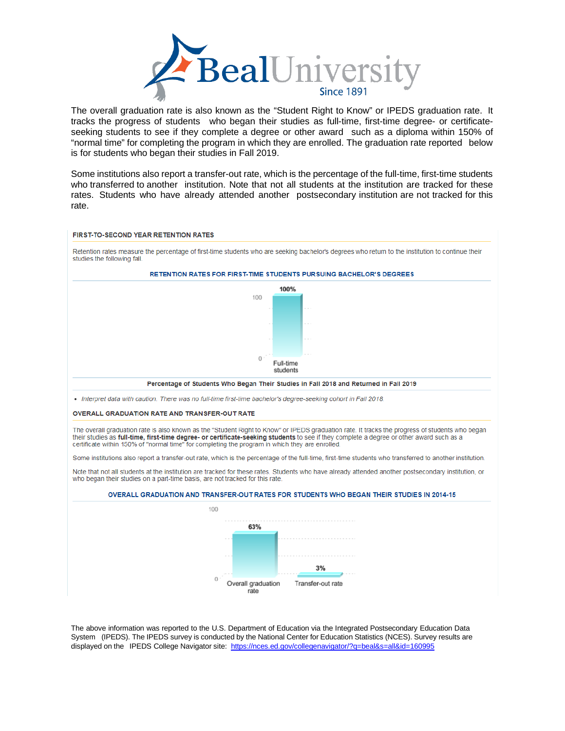

The overall graduation rate is also known as the "Student Right to Know" or IPEDS graduation rate. It tracks the progress of students who began their studies as full-time, first-time degree- or certificateseeking students to see if they complete a degree or other award such as a diploma within 150% of "normal time" for completing the program in which they are enrolled. The graduation rate reported below is for students who began their studies in Fall 2019.

Some institutions also report a transfer-out rate, which is the percentage of the full-time, first-time students who transferred to another institution. Note that not all students at the institution are tracked for these rates. Students who have already attended another postsecondary institution are not tracked for this rate.



The above information was reported to the U.S. Department of Education via the Integrated Postsecondary Education Data System (IPEDS). The IPEDS survey is conducted by the National Center for Education Statistics (NCES). Survey results are displayed on the IPEDS College Navigator site:<https://nces.ed.gov/collegenavigator/?q=beal&s=all&id=160995>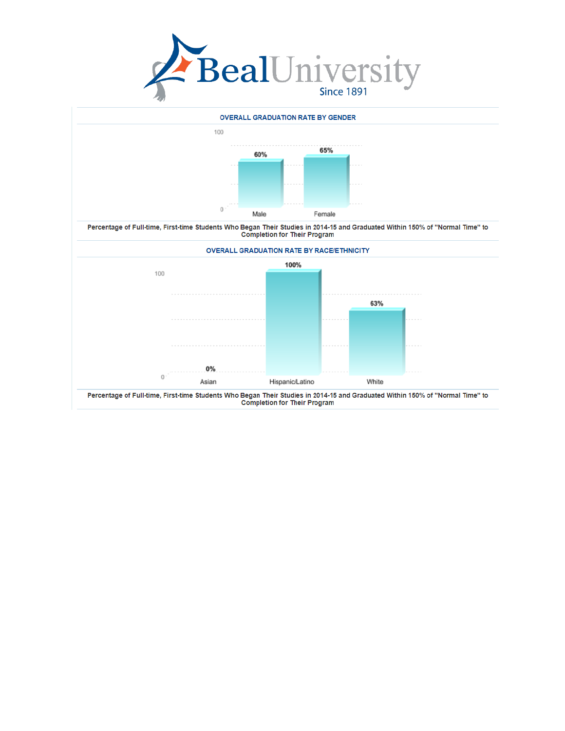

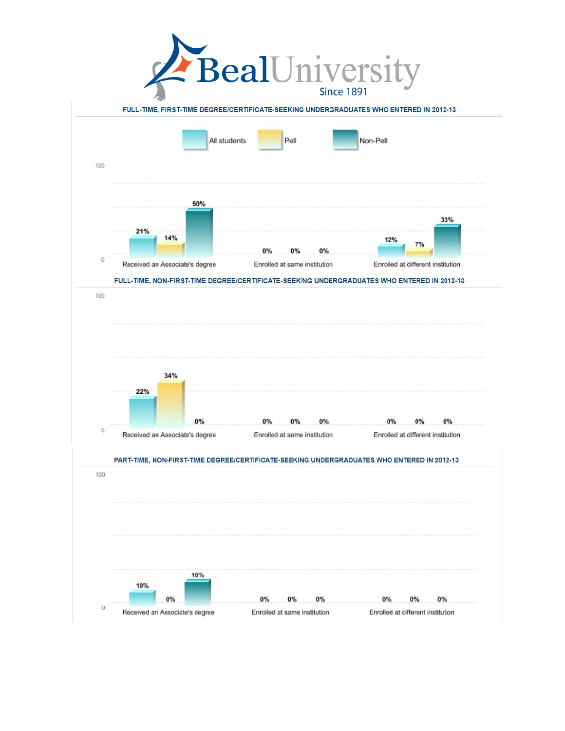